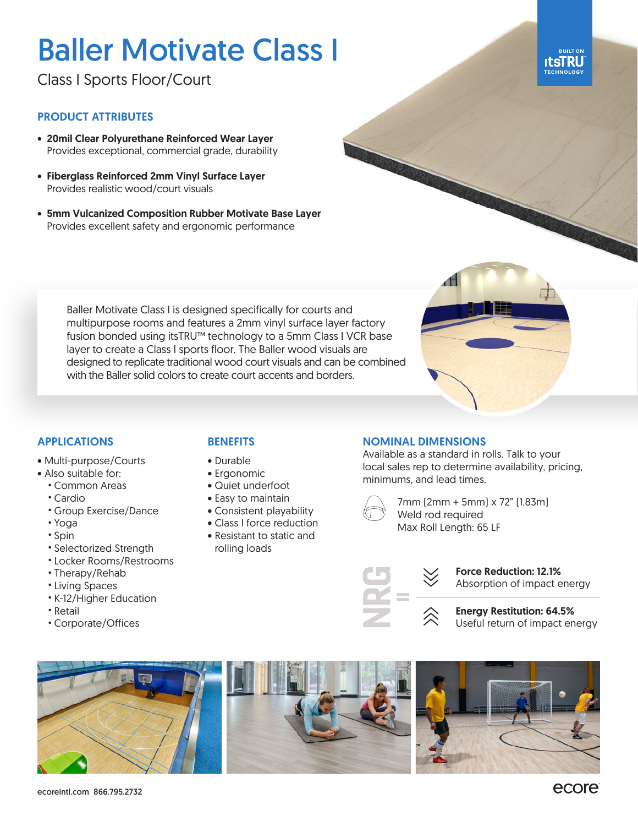# Baller Motivate Class I

Class I Sports Floor/Court

## PRODUCT ATTRIBUTES

- 20mil Clear Polyurethane Reinforced Wear Layer Provides exceptional, commercial grade, durability
- Fiberglass Reinforced 2mm Vinyl Surface Layer Provides realistic wood/court visuals
- 5mm Vulcanized Composition Rubber Motivate Base Layer Provides excellent safety and ergonomic performance

Baller Motivate Class I is designed specifically for courts and multipurpose rooms and features a 2mm vinyl surface layer factory fusion bonded using itsTRU™ technology to a 5mm Class I VCR base layer to create a Class I sports floor. The Baller wood visuals are designed to replicate traditional wood court visuals and can be combined with the Baller solid colors to create court accents and borders.



# APPLICATIONS

- Multi-purpose/Courts
- Also suitable for:
	- Common Areas
	- Cardio
	- Group Exercise/Dance
	- Yoga
	- Spin
	- Selectorized Strength
	- Locker Rooms/Restrooms
	- Therapy/Rehab
	- Living Spaces
	- K-12/Higher Education
	- Retail
	- Corporate/Offices

# **BENEFITS**

- Durable
- Ergonomic
- Quiet underfoot
- Easy to maintain
- Consistent playability
- Class I force reduction • Resistant to static and
- rolling loads

#### NOMINAL DIMENSIONS

Available as a standard in rolls. Talk to your local sales rep to determine availability, pricing, minimums, and lead times.



7mm (2mm + 5mm) x 72" (1.83m) Weld rod required Max Roll Length: 65 LF



Force Reduction: 12.1% Absorption of impact energy









**BUILT ON ItsTRU**